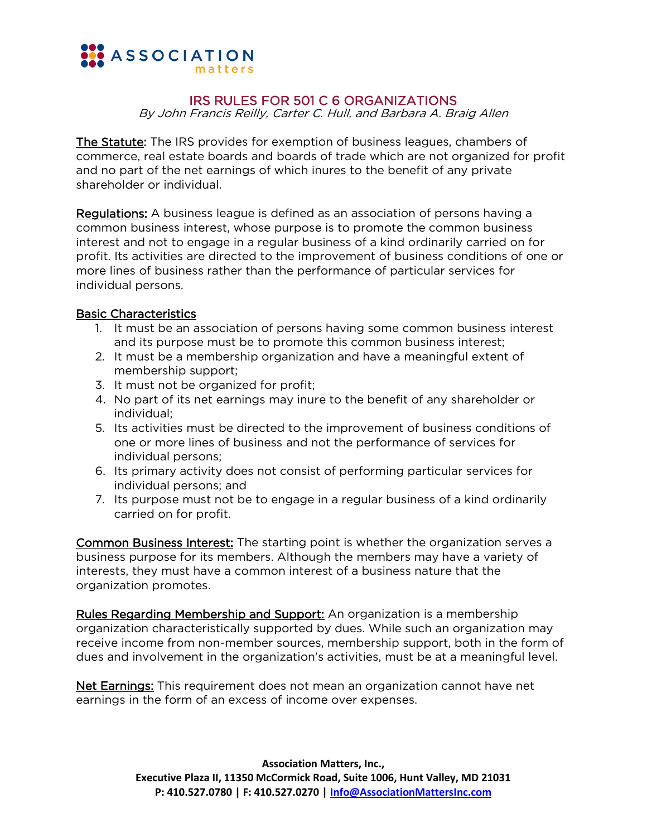

## IRS RULES FOR 501 C 6 ORGANIZATIONS

By John Francis Reilly, Carter C. Hull, and Barbara A. Braig Allen

The Statute: The IRS provides for exemption of business leagues, chambers of commerce, real estate boards and boards of trade which are not organized for profit and no part of the net earnings of which inures to the benefit of any private shareholder or individual.

Regulations: A business league is defined as an association of persons having a common business interest, whose purpose is to promote the common business interest and not to engage in a regular business of a kind ordinarily carried on for profit. Its activities are directed to the improvement of business conditions of one or more lines of business rather than the performance of particular services for individual persons.

## Basic Characteristics

- 1. It must be an association of persons having some common business interest and its purpose must be to promote this common business interest;
- 2. It must be a membership organization and have a meaningful extent of membership support;
- 3. It must not be organized for profit;
- 4. No part of its net earnings may inure to the benefit of any shareholder or individual;
- 5. Its activities must be directed to the improvement of business conditions of one or more lines of business and not the performance of services for individual persons;
- 6. Its primary activity does not consist of performing particular services for individual persons; and
- 7. Its purpose must not be to engage in a regular business of a kind ordinarily carried on for profit.

Common Business Interest: The starting point is whether the organization serves a business purpose for its members. Although the members may have a variety of interests, they must have a common interest of a business nature that the organization promotes.

Rules Regarding Membership and Support: An organization is a membership organization characteristically supported by dues. While such an organization may receive income from non-member sources, membership support, both in the form of dues and involvement in the organization's activities, must be at a meaningful level.

Net Earnings: This requirement does not mean an organization cannot have net earnings in the form of an excess of income over expenses.

> **Association Matters, Inc., Executive Plaza II, 11350 McCormick Road, Suite 1006, Hunt Valley, MD 21031 P: 410.527.0780 | F: 410.527.0270 | [Info@AssociationMattersInc.com](mailto:Info@AssociationMattersInc.com)**